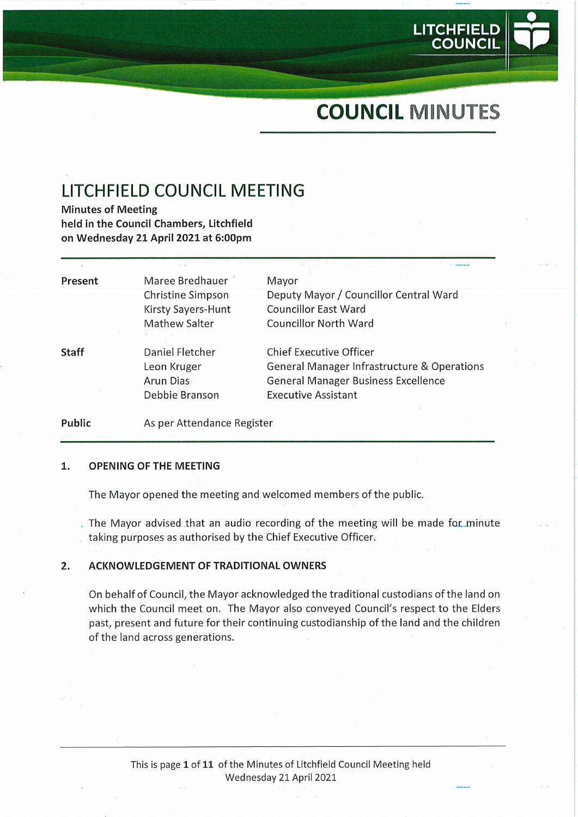

LITCHFIEL

COUNCIL

# LITCHFIELD COUNCIL MEETING

Minutes of Meeting held in the Council Chambers, Litchfield on Wednesday 21 April 2021 at 6:00pm

| Present      | Maree Bredhauer            | Mayor                                       |
|--------------|----------------------------|---------------------------------------------|
|              | Christine Simpson          | Deputy Mayor / Councillor Central Ward      |
|              | Kirsty Sayers-Hunt         | <b>Councillor East Ward</b>                 |
|              | Mathew Salter              | <b>Councillor North Ward</b>                |
|              |                            |                                             |
| <b>Staff</b> | Daniel Fletcher            | <b>Chief Executive Officer</b>              |
|              | Leon Kruger                | General Manager Infrastructure & Operations |
|              | Arun Dias                  | <b>General Manager Business Excellence</b>  |
|              | Debbie Branson             | <b>Executive Assistant</b>                  |
|              |                            |                                             |
| Public       | As per Attendance Register |                                             |

#### $\mathbf{1}$ . OPENING OF THE MEETING

The Mayor opened the meeting and welcomed members of the public.

The Mayor advised that an audio recording of the meeting will be made for\_minute taking purposes as authorised by the Chief Executive Officer.

#### ACKNOWLEDGEMENT OF TRADITIONAL OWNERS  $2.$

On behalf of Council, the Mayor acknowledged the traditional custodians of the land on which the Council meet on. The Mayor also conveyed Council's respect to the Elders past, present and future for their continuing custodianship of the land and the children of the land across generations.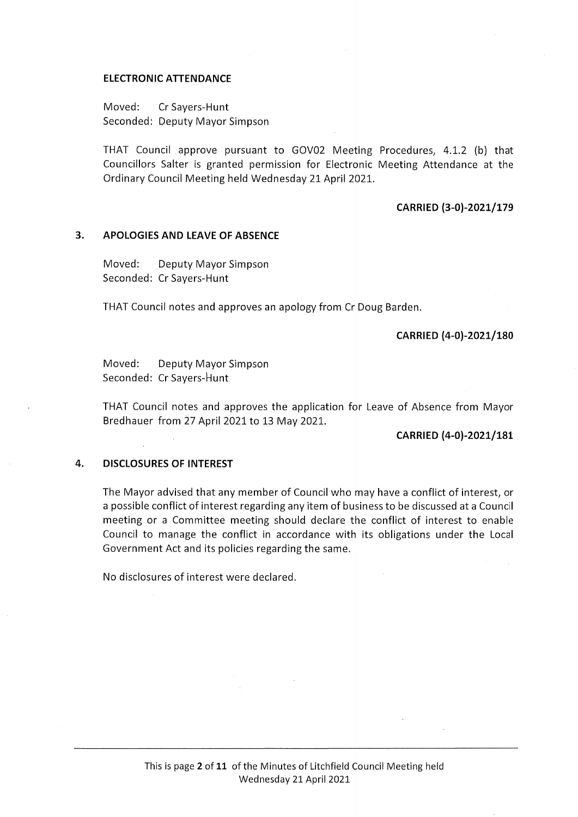#### ELECTRONIC ATTENDANCE

Moved: CrSayers-Hunt Seconded: Deputy Mayor Simpson

THAT Council approve pursuant to GOV02 Meeting Procedures, 4.1.2 (b) that Councillors Salter is granted permission for Electronic Meeting Attendance at the Ordinary Council Meeting held Wednesday 21 April 2021.

#### CARRIED (3-0)-2021/179

#### 3. APOLOGIES AND LEAVE OF ABSENCE

Moved: Deputy Mayor Simpson Seconded: Cr Sayers-Hunt

THAT Council notes and approves an apology from Cr Doug Barden.

#### CARRIED (4-0)-2021/180

Moved: Deputy Mayor Simpson Seconded: Cr Savers-Hunt

THAT Council notes and approves the application for Leave of Absence from Mayor Bredhauer from 27 April 2021 to 13 May 2021.

#### CARRIED (4-0)-2021/181

# 4. DISCLOSURES OF INTEREST

The Mayor advised that any member of Council who may have a conflict of interest; or a possible conflict of interest regarding any item of business to be discussed at a Council meeting or a Committee meeting should declare the conflict of interest to enable Council to manage the conflict in accordance with its obligations under the Local Government Act and its policies regarding the same.

No disclosures of interest were declared.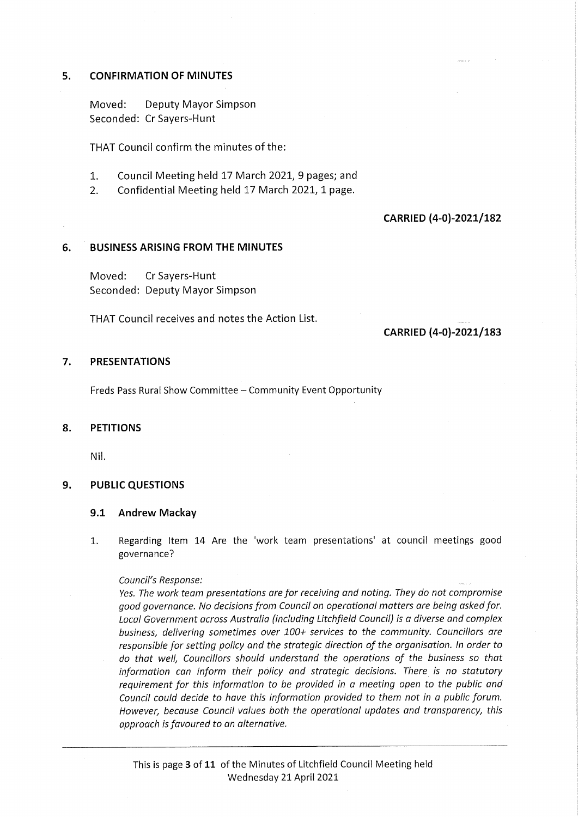# 5. CONFIRMATION OF MINUTES

Moved: Deputy Mayor Simpson Seconded: Cr Sayers-Hunt

THAT Council confirm the minutes of the:

- 1. Council Meeting held 17 March 2021, 9 pages; and
- 2. Confidential Meeting held 17 March 2021, 1 page.

# CARRIED (4-0)-2021/182

# 6. BUSINESS ARISING FROM THE MINUTES

Moved: CrSayers-Hunt Seconded: Deputy Mayor Simpson

THAT Council receives and notes the Action List.

# CARRIED (4-0)-2021/183

## 7. PRESENTATIONS

Freds Pass Rural Show Committee - Community Event Opportunity

## 8. PETITIONS

Nil.

## 9. PUBLIC QUESTIONS

## 9.1 Andrew Mackay

1. Regarding Item 14 Are the 'work team presentations' at council meetings good governance?

#### Council's Response:

Yes. The work team presentations are for receiving and noting. They do not compromise good governance. No decisions from Council on operational matters are being asked for. Local Government across Australia (including Litchfield Council) is a diverse and complex business, delivering sometimes over 100+ services to the community. Councillors are responsible for setting policy and the strategic direction of the organisation. In order to do that well. Councillors should understand the operations of the business so that information can inform their policy and strategic decisions. There is no statutory requirement for this information to be provided in a meeting open to the public and Council could decide to have this information provided to them not in a public forum. However, because Council values both the operational updates and transparency, this approach is favoured to an alternative.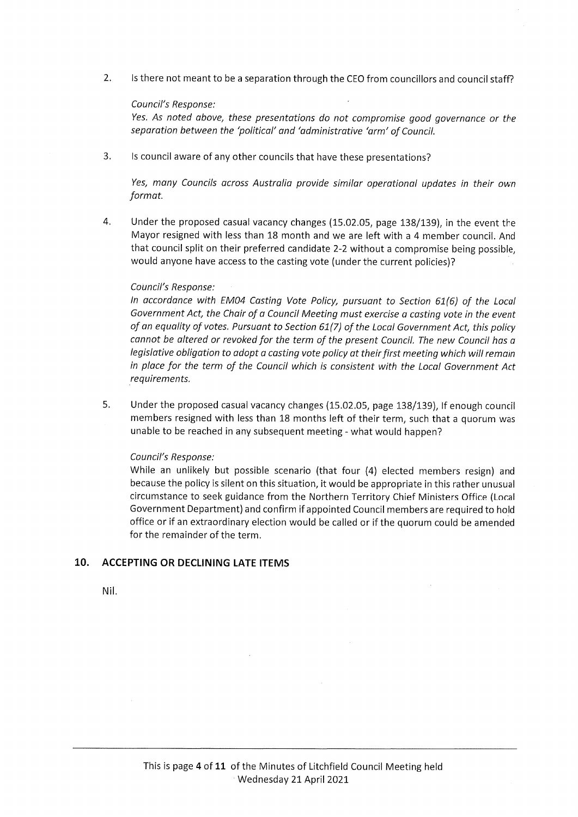2. Is there not meant to be a separation through the CEO from councillors and council staff?

### Council's Response:

Yes. As noted above, these presentations do not compromise good governance or the separation between the 'political' and 'administrative 'arm' of Council.

3. Is council aware of any other councils that have these presentations?

Yes, many Councils across Australia provide similar operational updates in their own format.

4. Under the proposed casual vacancy changes (15.02.05, page 138/139), in the event the Mayor resigned with less than 18 month and we are left with a 4 member council. And that council split on their preferred candidate 2-2 without a compromise being possible, would anyone have access to the casting vote (under the current policies)?

#### Council's Response:

In accordance with EM04 Casting Vote Policy, pursuant to Section 61(6) of the Local Government Act, the Chair of a Council Meeting must exercise a casting vote in the event of an equality of votes. Pursuant to Section 61(7) of the Local Government Act, this policy cannot be altered or revoked for the term of the present Council. The new Council has a legislative obligation to adopt a casting vote policy at their first meeting which will remain in place for the term of the Council which is consistent with the Local Government Act requirements.

5. Under the proposed casual vacancy changes (15.02.05, page 138/139), If enough council members resigned with less than 18 months left of their term, such that a quorum was unable to be reached in any subsequent meeting - what would happen?

#### Council's Response:

While an unlikely but possible scenario (that four (4) elected members resign) and because the policy is silent on this situation, it would be appropriate in this rather unusual circumstance to seek guidance from the Northern Territory Chief Ministers Office (Local Government Department) and confirm if appointed Council members are required to hold office or if an extraordinary election would be called or if the quorum could be amended for the remainder of the term.

## 10. ACCEPTING OR DECLINING LATE ITEMS

Nil.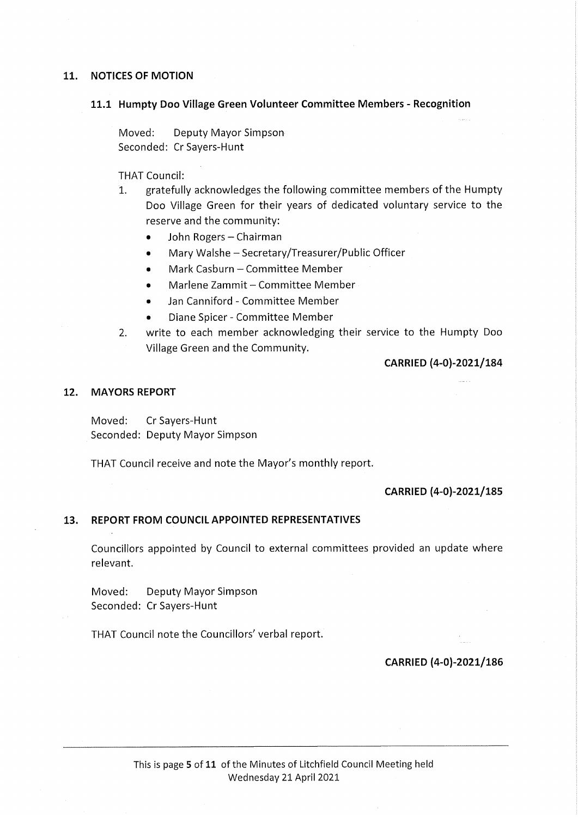# 11. NOTICES OF MOTION

#### 11.1 Humpty Doo Village Green Volunteer Committee Members - Recognition

Moved: Deputy Mayor Simpson Seconded: Cr Sayers-Hunt

THAT Council:

- 1. gratefully acknowledges the following committee members of the Humpty Doo Village Green for their years of dedicated voluntary service to the reserve and the community:
	- John Rogers Chairman
	- Mary Walshe Secretary/Treasurer/Public Officer
	- Mark Casburn Committee Member
	- Marlene Zammit-Committee Member
	- Jan Canniford Committee Member
	- Diane Spicer-Committee Member
- 2. write to each member acknowledging their service to the Humpty Doo Village Green and the Community.

CARRIED (4-0)-2021/184

### 12. MAYORS REPORT

Moved: CrSayers-Hunt Seconded: Deputy Mayor Simpson

THAT Council receive and note the Mayor's monthly report.

# CARRIED (4-0)-2021/185

## 13. REPORT FROM COUNCIL APPOINTED REPRESENTATIVES

Councillors appointed by Council to external committees provided an update where relevant.

Moved: Deputy Mayor Simpson Seconded: Cr Sayers-Hunt

THAT Council note the Councillors' verbal report.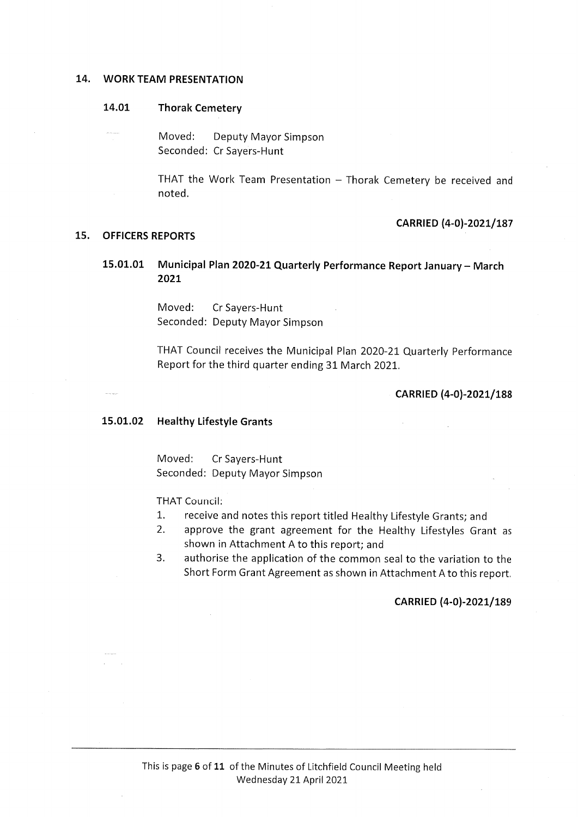#### 14. WORK TEAM PRESENTATION

#### 14.01 Thorak Cemetery

Moved: Deputy Mayor Simpson Seconded: Cr Sayers-Hunt

> THAT the Work Team Presentation  $-$  Thorak Cemetery be received and noted.

#### 15. OFFICERS REPORTS

# CARRIED (4-0)-2021/187

# 15.01.01 Municipal Plan 2020-21 Quarterly Performance Report January - March 2021

Moved: CrSayers-Hunt Seconded: Deputy Mayor Simpson

THAT Council receives the Municipal Plan 2020-21 Quarterly Performance Report for the third quarter ending 31 March 2021.

#### CARRIED (4-0)-2021/188

#### 15.01.02 Healthy Lifestyle Grants

Moved: CrSayers-Hunt Seconded: Deputy Mayor Simpson

THAT Council:

- 1. receive and notes this report titled Healthy Lifestyle Grants; and
- 2. approve the grant agreement for the Healthy Lifestyles Grant as shown in Attachment A to this report; and
- 3. authorise the application of the common seal to the variation to the Short Form Grant Agreement as shown in Attachment A to this report.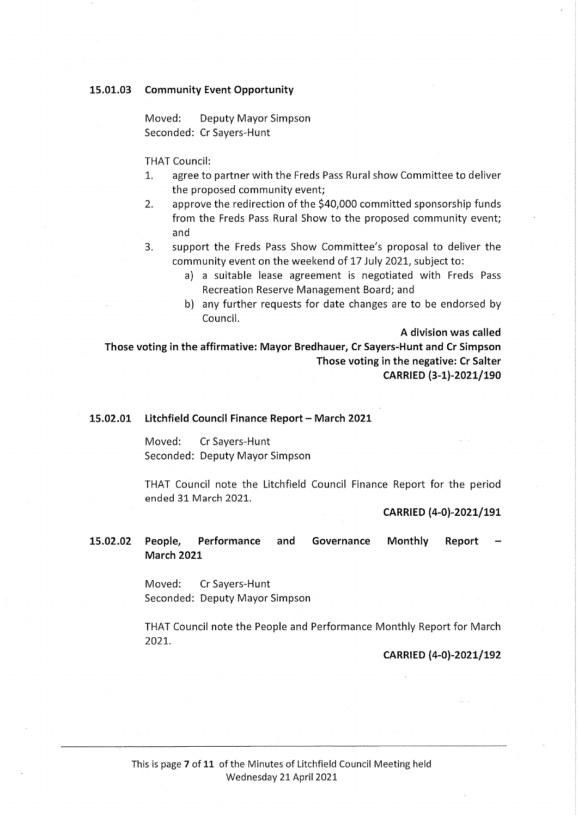#### 15.01.03 Community Event Opportunity

Moved: Deputy Mayor Simpson Seconded: Cr Sayers-Hunt

THAT Council:

- 1. agree to partner with the Freds Pass Rural show Committee to deliver the proposed community event;
- 2. approve the redirection of the \$40,000 committed sponsorship funds from the Freds Pass Rural Show to the proposed community event; and
- 3. support the Freds Pass Show Committee's proposal to deliver the community event on the weekend of 17 July 2021, subject to:
	- a) a suitable lease agreement is negotiated with Freds Pass Recreation Reserve Management Board; and
	- b) any further requests for date changes are to be endorsed by Council.

A division was called

Those voting in the affirmative: Mayor Bredhauer, Cr Sayers-Hunt and Cr Simpson Those voting in the negative: Cr Salter CARRIED (3-1)-2021/190

#### 15.02.01 Litchfield Council Finance Report - March 2021

Moved: Cr Sayers-Hunt Seconded: Deputy Mayor Simpson

THAT Council note the Litchfield Council Finance Report for the period ended 31 March 2021.

CARRIED (4-0)-2021/191

15.02.02 People, Performance and Governance Monthly Report March 2021

> Moved: CrSayers-Hunt Seconded: Deputy Mayor Simpson

THAT Council note the People and Performance Monthly Report for March 2021.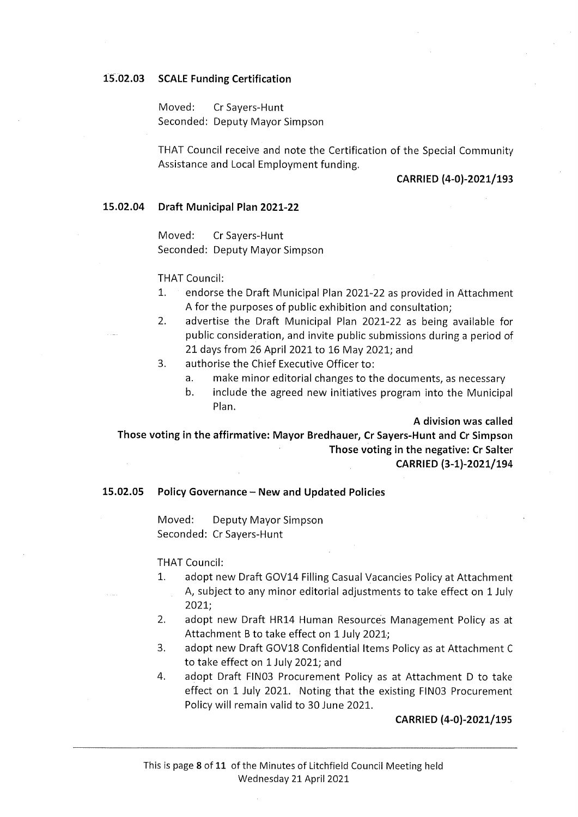#### 15.02.03 SCALE Funding Certification

Moved: CrSayers-Hunt Seconded: Deputy Mayor Simpson

THAT Council receive and note the Certification of the Special Community Assistance and Local Employment funding.

#### CARRIED (4-0)-2021/193

#### 15.02.04 Draft Municipal Plan 2021-22

Moved: CrSayers-Hunt Seconded: Deputy Mayor Simpson

THAT Council:

- 1. endorse the Draft Municipal Plan 2021-22 as provided in Attachment A for the purposes of public exhibition and consultation;
- 2. advertise the Draft Municipal Plan 2021-22 as being available for public consideration, and invite public submissions during a period of 21 days from 26 April 2021 to 16 May 2021; and
- 3. authorise the Chief Executive Officer to:
	- a. make minor editorial changes to the documents, as necessary
	- b. include the agreed new initiatives program into the Municipal Plan.

A division was called

Those voting in the affirmative: Mayor Bredhauer, Cr Sayers-Hunt and Cr Simpson Those voting in the negative: Cr Salter CARRIED (3-1)-2021/194

#### 15.02.05 Policy Governance - New and Updated Policies

Moved: Deputy Mayor Simpson Seconded: Cr Sayers-Hunt

THAT Council:

- 1. adopt new Draft GOV14 Filling Casual Vacancies Policy at Attachment A, subject to any minor editorial adjustments to take effect on 1 July 2021;
- 2. adopt new Draft HR14 Human Resources Management Policy as at Attachment B to take effect on 1 July 2021;
- 3. adopt new Draft GOV18 Confidential Items Policy as at Attachment C to take effect on 1 July 2021; and
- 4. adopt Draft FIN03 Procurement Policy as at Attachment D to take effect on 1 July 2021. Noting that the existing FIN03 Procurement Policy will remain valid to 30 June 2021.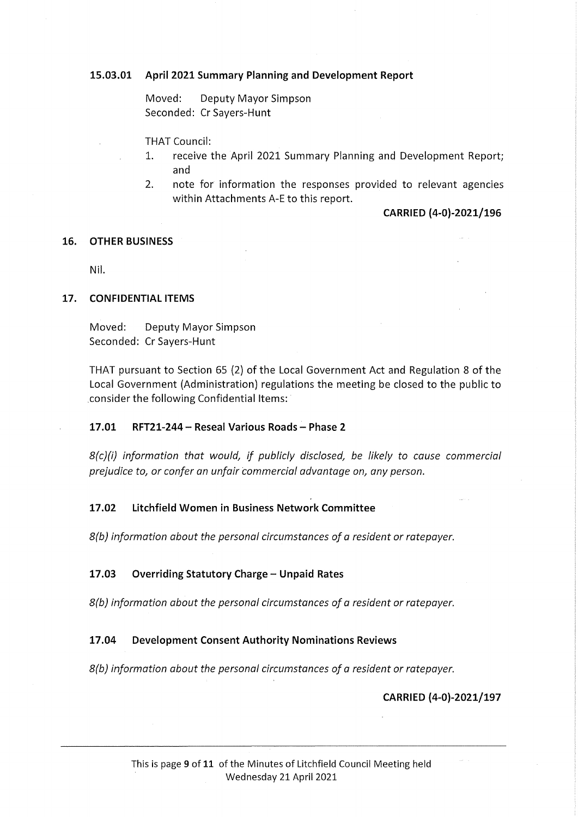# 15.03.01 April 2021 Summary Planning and Development Report

Moved: Deputy Mayor Simpson Seconded: Cr Sayers-Hunt

THAT Council:

- 1. receive the April 2021 Summary Planning and Development Report; and
- 2. note for information the responses provided to relevant agencies within Attachments A-E to this report.

#### CARRIED (4-0)-2021/196

#### 16. OTHER BUSINESS

Nil.

#### 17. CONFIDENTIAL ITEMS

Moved: Deputy Mayor Simpson Seconded: Cr Sayers-Hunt

THAT pursuant to Section 65 (2) of the Local Government Act and Regulation 8 of the Local Government (Administration) regulations the meeting be closed to the public to consider the following Confidential Items:

## 17.01 RFT21-244 - Reseal Various Roads - Phase 2

 $8(c)(i)$  information that would, if publicly disclosed, be likely to cause commercial prejudice to, or confer an unfair commercial advantage on, any person.

# 17.02 Litchfield Women in Business Network Committee

8(b) information about the personal circumstances of a resident or ratepayer.

## 17.03 Overriding Statutory Charge - Unpaid Rates

8(b) information about the personal circumstances of a resident or ratepayer.

## 17.04 Development Consent Authority Nominations Reviews

8(b) information about the personal circumstances of a resident or ratepayer.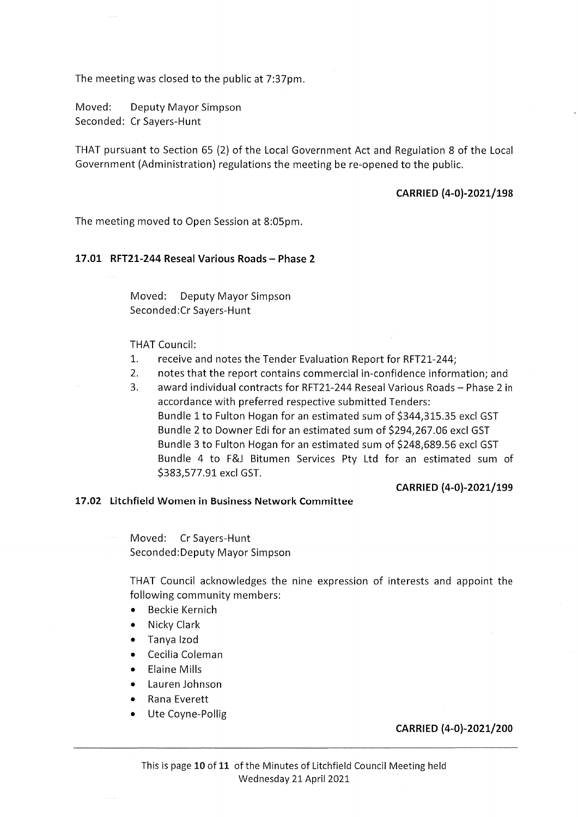The meeting was closed to the public at 7:37pm.

Moved: Deputy Mayor Simpson Seconded: Cr Sayers-Hunt

THAT pursuant to Section 65 (2) of the Local Government Act and Regulation 8 of the Local Government (Administration) regulations the meeting be re-opened to the public.

# CARRIED (4-0)-2021/198

The meeting moved to Open Session at 8:05pm.

#### 17.01 RFT21-244 Reseal Various Roads - Phase 2

Moved: Deputy Mayor Simpson Seconded:Cr Sayers-Hunt

THAT Council:

- 1. receive and notes the Tender Evaluation Report for RFT21-244;
- 2. notes that the report contains commercial in-confidence information; and
- 3. award individual contracts for RFT21-244 Reseal Various Roads Phase 2 in accordance with preferred respective submitted Tenders: Bundle 1 to Fulton Hogan for an estimated sum of \$344,315.35 excl GST Bundle 2 to Downer Edi for an estimated sum of \$294,267.06 excl GST Bundle 3 to Fulton Hogan for an estimated sum of \$248,689.56 excl GST Bundle 4 to F&J Bitumen Services Pty Ltd for an estimated sum of \$383,577.91 excl GST.

#### CARRIED (4-0)-2021/199

#### 17.02 Litchfield Women in Business Network Committee

Moved: CrSayers-Hunt Seconded:Deputy Mayor Simpson

THAT Council acknowledges the nine expression of interests and appoint the following community members:

- Beckie Kernich
- NickyClark
- Tanya Izod
- Cecilia Coleman
- Elaine Mills
- Lauren Johnson
- Rana Everett
- Ute Coyne-Pollig